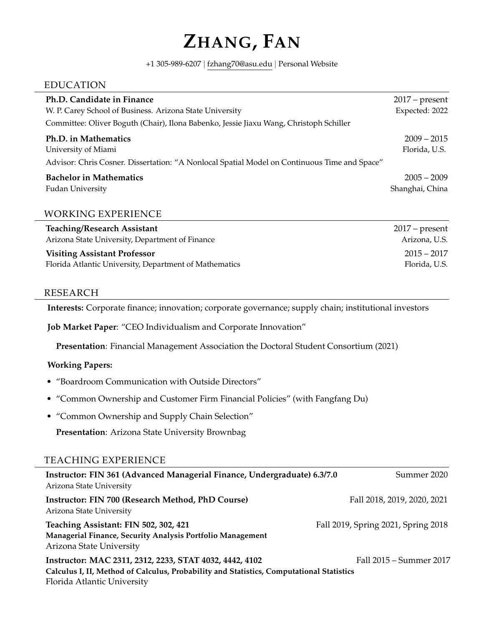# **ZHANG, FAN**

+1 305-989-6207 | [fzhang70@asu.edu](mailto:fzhang70@asu.edu) | [Personal Website](https://sites.google.com/view/fan-zhangs-website/home)

# EDUCATION

| Ph.D. Candidate in Finance<br>W. P. Carey School of Business. Arizona State University       | $2017$ – present<br>Expected: 2022 |
|----------------------------------------------------------------------------------------------|------------------------------------|
| Committee: Oliver Boguth (Chair), Ilona Babenko, Jessie Jiaxu Wang, Christoph Schiller       |                                    |
| Ph.D. in Mathematics                                                                         | $2009 - 2015$                      |
| University of Miami                                                                          | Florida, U.S.                      |
| Advisor: Chris Cosner. Dissertation: "A Nonlocal Spatial Model on Continuous Time and Space" |                                    |
| <b>Bachelor in Mathematics</b>                                                               | $2005 - 2009$                      |
| <b>Fudan University</b>                                                                      | Shanghai, China                    |
|                                                                                              |                                    |

# WORKING EXPERIENCE

| <b>Teaching/Research Assistant</b>                     | $2017$ – present |
|--------------------------------------------------------|------------------|
| Arizona State University, Department of Finance        | Arizona, U.S.    |
| <b>Visiting Assistant Professor</b>                    | $2015 - 2017$    |
| Florida Atlantic University, Department of Mathematics | Florida, U.S.    |

### RESEARCH

**Interests:** Corporate finance; innovation; corporate governance; supply chain; institutional investors

**Job Market Paper**: "CEO Individualism and Corporate Innovation"

**Presentation**: Financial Management Association the Doctoral Student Consortium (2021)

#### **Working Papers:**

- "Boardroom Communication with Outside Directors"
- "Common Ownership and Customer Firm Financial Policies" (with Fangfang Du)
- "Common Ownership and Supply Chain Selection"

**Presentation**: Arizona State University Brownbag

# TEACHING EXPERIENCE

| Instructor: FIN 361 (Advanced Managerial Finance, Undergraduate) 6.3/7.0<br>Arizona State University                                                                               | Summer 2020                         |
|------------------------------------------------------------------------------------------------------------------------------------------------------------------------------------|-------------------------------------|
| Instructor: FIN 700 (Research Method, PhD Course)<br>Arizona State University                                                                                                      | Fall 2018, 2019, 2020, 2021         |
| Teaching Assistant: FIN 502, 302, 421<br>Managerial Finance, Security Analysis Portfolio Management<br>Arizona State University                                                    | Fall 2019, Spring 2021, Spring 2018 |
| Instructor: MAC 2311, 2312, 2233, STAT 4032, 4442, 4102<br>Calculus I, II, Method of Calculus, Probability and Statistics, Computational Statistics<br>Florida Atlantic University | Fall 2015 – Summer 2017             |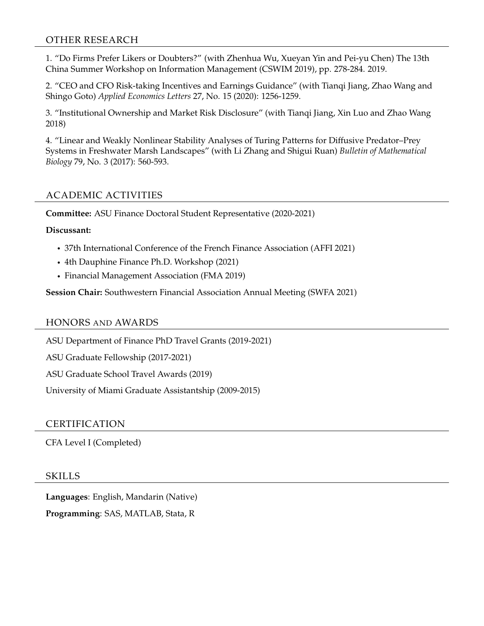# OTHER RESEARCH

1. "Do Firms Prefer Likers or Doubters?" (with Zhenhua Wu, Xueyan Yin and Pei-yu Chen) The 13th China Summer Workshop on Information Management (CSWIM 2019), pp. 278-284. 2019.

2. "CEO and CFO Risk-taking Incentives and Earnings Guidance" (with Tianqi Jiang, Zhao Wang and Shingo Goto) *Applied Economics Letters* 27, No. 15 (2020): 1256-1259.

3. "Institutional Ownership and Market Risk Disclosure" (with Tianqi Jiang, Xin Luo and Zhao Wang 2018)

4. "Linear and Weakly Nonlinear Stability Analyses of Turing Patterns for Diffusive Predator–Prey Systems in Freshwater Marsh Landscapes" (with Li Zhang and Shigui Ruan) *Bulletin of Mathematical Biology* 79, No. 3 (2017): 560-593.

# ACADEMIC ACTIVITIES

**Committee:** ASU Finance Doctoral Student Representative (2020-2021)

### **Discussant:**

- 37th International Conference of the French Finance Association (AFFI 2021)
- 4th Dauphine Finance Ph.D. Workshop (2021)
- Financial Management Association (FMA 2019)

**Session Chair:** Southwestern Financial Association Annual Meeting (SWFA 2021)

#### HONORS AND AWARDS

ASU Department of Finance PhD Travel Grants (2019-2021)

ASU Graduate Fellowship (2017-2021)

ASU Graduate School Travel Awards (2019)

University of Miami Graduate Assistantship (2009-2015)

# CERTIFICATION

CFA Level I (Completed)

#### SKILLS

**Languages**: English, Mandarin (Native) **Programming**: SAS, MATLAB, Stata, R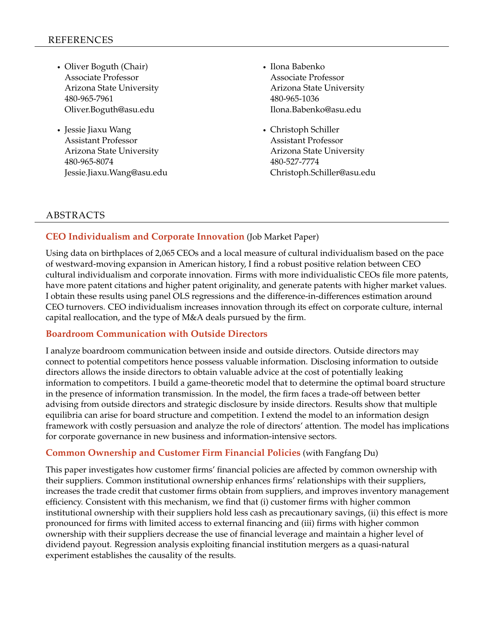- Oliver Boguth (Chair) Associate Professor Arizona State University 480-965-7961 Oliver.Boguth@asu.edu
- Jessie Jiaxu Wang Assistant Professor Arizona State University 480-965-8074 Jessie.Jiaxu.Wang@asu.edu
- Ilona Babenko Associate Professor Arizona State University 480-965-1036 Ilona.Babenko@asu.edu
- Christoph Schiller Assistant Professor Arizona State University 480-527-7774 Christoph.Schiller@asu.edu

# ABSTRACTS

### **CEO Individualism and Corporate Innovation** (Job Market Paper)

Using data on birthplaces of 2,065 CEOs and a local measure of cultural individualism based on the pace of westward-moving expansion in American history, I find a robust positive relation between CEO cultural individualism and corporate innovation. Firms with more individualistic CEOs file more patents, have more patent citations and higher patent originality, and generate patents with higher market values. I obtain these results using panel OLS regressions and the difference-in-differences estimation around CEO turnovers. CEO individualism increases innovation through its effect on corporate culture, internal capital reallocation, and the type of M&A deals pursued by the firm.

# **Boardroom Communication with Outside Directors**

I analyze boardroom communication between inside and outside directors. Outside directors may connect to potential competitors hence possess valuable information. Disclosing information to outside directors allows the inside directors to obtain valuable advice at the cost of potentially leaking information to competitors. I build a game-theoretic model that to determine the optimal board structure in the presence of information transmission. In the model, the firm faces a trade-off between better advising from outside directors and strategic disclosure by inside directors. Results show that multiple equilibria can arise for board structure and competition. I extend the model to an information design framework with costly persuasion and analyze the role of directors' attention. The model has implications for corporate governance in new business and information-intensive sectors.

#### **Common Ownership and Customer Firm Financial Policies** (with Fangfang Du)

This paper investigates how customer firms' financial policies are affected by common ownership with their suppliers. Common institutional ownership enhances firms' relationships with their suppliers, increases the trade credit that customer firms obtain from suppliers, and improves inventory management efficiency. Consistent with this mechanism, we find that (i) customer firms with higher common institutional ownership with their suppliers hold less cash as precautionary savings, (ii) this effect is more pronounced for firms with limited access to external financing and (iii) firms with higher common ownership with their suppliers decrease the use of financial leverage and maintain a higher level of dividend payout. Regression analysis exploiting financial institution mergers as a quasi-natural experiment establishes the causality of the results.